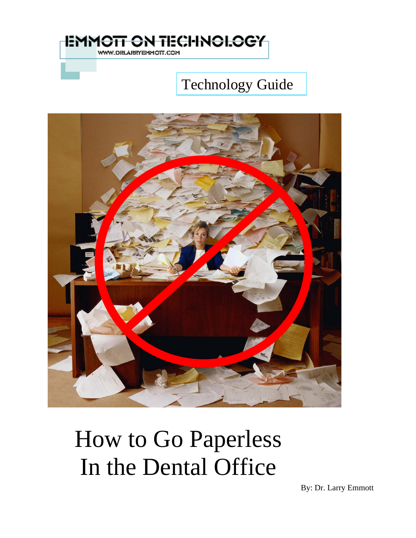

### Technology Guide



How to Go Paperless In the Dental Office

By: Dr. Larry Emmott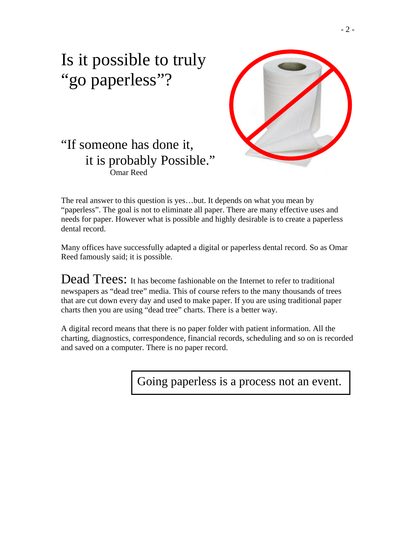

### Is it possible to truly "go paperless"?

#### "If someone has done it, it is probably Possible." Omar Reed

The real answer to this question is yes…but. It depends on what you mean by "paperless". The goal is not to eliminate all paper. There are many effective uses and needs for paper. However what is possible and highly desirable is to create a paperless dental record.

Many offices have successfully adapted a digital or paperless dental record. So as Omar Reed famously said; it is possible.

Dead Trees: It has become fashionable on the Internet to refer to traditional newspapers as "dead tree" media. This of course refers to the many thousands of trees that are cut down every day and used to make paper. If you are using traditional paper charts then you are using "dead tree" charts. There is a better way.

A digital record means that there is no paper folder with patient information. All the charting, diagnostics, correspondence, financial records, scheduling and so on is recorded and saved on a computer. There is no paper record.

Going paperless is a process not an event.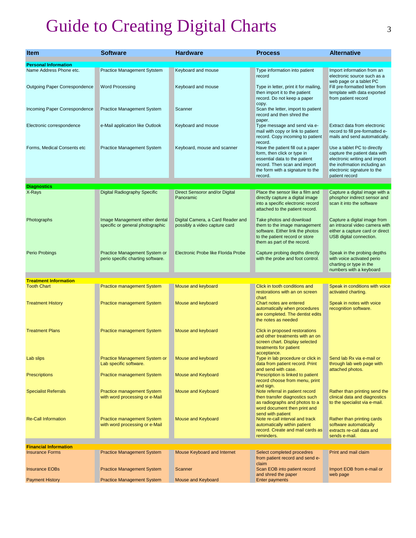## Guide to Creating Digital Charts 3

| <b>Item</b>                          | <b>Software</b>                                                     | <b>Hardware</b>                                                    | <b>Process</b>                                                                                                                                                                              | <b>Alternative</b>                                                                                                                                                             |
|--------------------------------------|---------------------------------------------------------------------|--------------------------------------------------------------------|---------------------------------------------------------------------------------------------------------------------------------------------------------------------------------------------|--------------------------------------------------------------------------------------------------------------------------------------------------------------------------------|
| <b>Personal Information</b>          |                                                                     |                                                                    |                                                                                                                                                                                             |                                                                                                                                                                                |
| Name Address Phone etc.              | Practice Management Sytstem                                         | Keyboard and mouse                                                 | Type information into patient<br>record                                                                                                                                                     | Import information from an<br>electronic source such as a<br>web page or a tablet PC                                                                                           |
| <b>Outgoing Paper Correspondence</b> | <b>Word Processing</b>                                              | Keyboard and mouse                                                 | Type in letter, print it for mailing,<br>then import it to the patient<br>record. Do not keep a paper<br>copy.                                                                              | Fill pre-formatted letter from<br>template with data exported<br>from patient record                                                                                           |
| Incoming Paper Correspondence        | <b>Practice Management System</b>                                   | Scanner                                                            | Scan the letter, import to patient<br>record and then shred the<br>paper.                                                                                                                   |                                                                                                                                                                                |
| Electronic correspondence            | e-Mail application like Outlook                                     | Keyboard and mouse                                                 | Type message and send via e-<br>mail with copy or link to patient<br>record. Copy incoming to patient                                                                                       | Extract data from electronic<br>record to fill pre-formatted e-<br>mails and send automatically.                                                                               |
| Forms, Medical Consents etc          | <b>Practice Management System</b>                                   | Keyboard, mouse and scanner                                        | record.<br>Have the patient fill out a paper<br>form, then click or type in<br>essential data to the patient<br>record. Then scan and import<br>the form with a signature to the<br>record. | Use a tablet PC to directly<br>capture the patient data with<br>electronic writing and import<br>the inofrmation including an<br>electronic signature to the<br>patient record |
| <b>Diagnostics</b>                   |                                                                     |                                                                    |                                                                                                                                                                                             |                                                                                                                                                                                |
| X-Rays                               | Digital Radiography Specific                                        | Direct Sensoror and/or Digital<br>Panoramic                        | Place the sensor like a film and<br>directly capture a digital image<br>into a specific electronic record<br>attached to the patient record.                                                | Capture a digital image with a<br>phosphor indirect sensor and<br>scan it into the software                                                                                    |
| Photographs                          | Image Management either dental<br>specific or general photographic  | Digital Camera, a Card Reader and<br>possibly a video capture card | Take photos and download<br>them to the image management<br>software. Either link the photos<br>to the patient record or store<br>them as part of the record.                               | Capture a digital image from<br>an intraoral video camera with<br>either a capture card or direct<br>USB digital connection.                                                   |
| Perio Probings                       | Practice Management System or<br>perio specific charting software.  | Electronic Probe like Florida Probe                                | Capture probing depths directly<br>with the probe and foot control.                                                                                                                         | Speak in the probing depths<br>with voice activated perio<br>charting or type in the<br>numbers with a keyboard                                                                |
| <b>Treatment Information</b>         |                                                                     |                                                                    |                                                                                                                                                                                             |                                                                                                                                                                                |
| <b>Tooth Chart</b>                   | <b>Practice management System</b>                                   | Mouse and keyboard                                                 | Click in tooth conditions and<br>restorations with an on screen<br>chart                                                                                                                    | Speak in conditions with voice<br>activated charting.                                                                                                                          |
| <b>Treatment History</b>             | <b>Practice management System</b>                                   | Mouse and keyboard                                                 | Chart notes are entered<br>automatically when procedures<br>are completed. The dentist edits<br>the notes as needed                                                                         | Speak in notes with voice<br>recognition software.                                                                                                                             |
| <b>Treatment Plans</b>               | <b>Practice management System</b>                                   | Mouse and keyboard                                                 | Click in proposed restorations<br>and other treatments with an on<br>screen chart. Display selected<br>treatments for patient                                                               |                                                                                                                                                                                |
| Lab slips                            | Practice Management System or<br>Lab specific software.             | Mouse and keyboard                                                 | acceptance.<br>Type in lab procedure or click in<br>data from patient record. Print<br>and send with case.                                                                                  | Send lab Rx via e-mail or<br>through lab web page with<br>attached photos.                                                                                                     |
| <b>Prescriptions</b>                 | <b>Practice management System</b>                                   | Mouse and Keyboard                                                 | Prescription is linked to patient<br>record choose from menu, print<br>and sign.                                                                                                            |                                                                                                                                                                                |
| <b>Specialist Referrals</b>          | <b>Practice management System</b><br>with word processing or e-Mail | Mouse and Keyboard                                                 | Note referral in patient record<br>then transfer diagnostics such<br>as radiographs and photos to a<br>word document then print and                                                         | Rather than printing send the<br>clinical data and diagnostics<br>to the specialist via e-mail.                                                                                |
| <b>Re-Call Information</b>           | <b>Practice management System</b><br>with word processing or e-Mail | Mouse and Keyboard                                                 | send with patient<br>Note re-call interval and track<br>automatically within patient<br>record. Create and mail cards as<br>reminders.                                                      | Rather than printing cards<br>software automatically<br>extracts re-call data and<br>sends e-mail.                                                                             |
| <b>Financial Information</b>         |                                                                     |                                                                    |                                                                                                                                                                                             |                                                                                                                                                                                |
| <b>Insurance Forms</b>               | <b>Practice Management System</b>                                   | Mouse Keyboard and Internet                                        | Select completed procedres<br>from patient record and send e-<br>claim                                                                                                                      | Print and mail claim                                                                                                                                                           |
| <b>Insurance EOBs</b>                | <b>Practice Management System</b>                                   | Scanner                                                            | Scan EOB into patient record<br>and shred the paper                                                                                                                                         | Import EOB from e-mail or<br>web page                                                                                                                                          |
| <b>Payment History</b>               | <b>Practice Management System</b>                                   | Mouse and Keyboard                                                 | <b>Enter payments</b>                                                                                                                                                                       |                                                                                                                                                                                |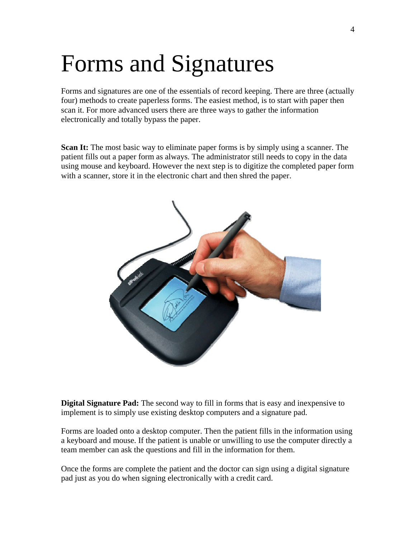# Forms and Signatures

Forms and signatures are one of the essentials of record keeping. There are three (actually four) methods to create paperless forms. The easiest method, is to start with paper then scan it. For more advanced users there are three ways to gather the information electronically and totally bypass the paper.

**Scan It:** The most basic way to eliminate paper forms is by simply using a scanner. The patient fills out a paper form as always. The administrator still needs to copy in the data using mouse and keyboard. However the next step is to digitize the completed paper form with a scanner, store it in the electronic chart and then shred the paper.



**Digital Signature Pad:** The second way to fill in forms that is easy and inexpensive to implement is to simply use existing desktop computers and a signature pad.

Forms are loaded onto a desktop computer. Then the patient fills in the information using a keyboard and mouse. If the patient is unable or unwilling to use the computer directly a team member can ask the questions and fill in the information for them.

Once the forms are complete the patient and the doctor can sign using a digital signature pad just as you do when signing electronically with a credit card.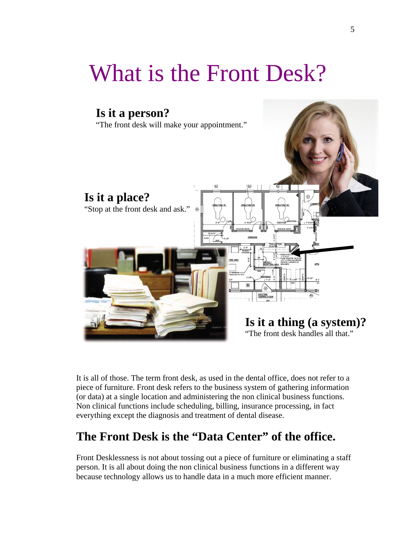# What is the Front Desk?



It is all of those. The term front desk, as used in the dental office, does not refer to a piece of furniture. Front desk refers to the business system of gathering information (or data) at a single location and administering the non clinical business functions. Non clinical functions include scheduling, billing, insurance processing, in fact everything except the diagnosis and treatment of dental disease.

#### **The Front Desk is the "Data Center" of the office.**

Front Desklessness is not about tossing out a piece of furniture or eliminating a staff person. It is all about doing the non clinical business functions in a different way because technology allows us to handle data in a much more efficient manner.